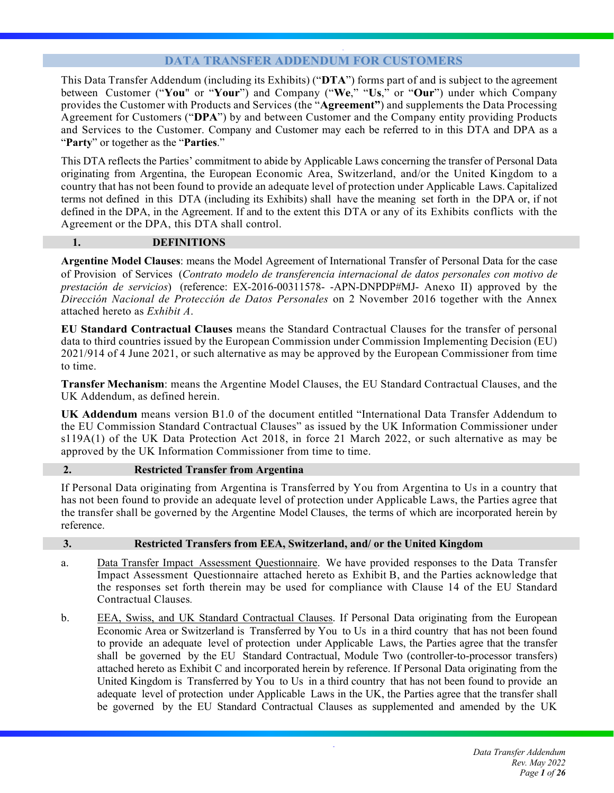# **DATA TRANSFER ADDENDUM FOR CUSTOMERS**

This Data Transfer Addendum (including its Exhibits) ("**DTA**") forms part of and is subject to the agreement between Customer ("**You**" or "**Your**") and Company ("**We**," "**Us**," or "**Our**") under which Company provides the Customer with Products and Services (the "**Agreement"**) and supplements the Data Processing Agreement for Customers ("**DPA**") by and between Customer and the Company entity providing Products and Services to the Customer. Company and Customer may each be referred to in this DTA and DPA as a "**Party**" or together as the "**Parties**."

This DTA reflects the Parties' commitment to abide by Applicable Laws concerning the transfer of Personal Data originating from Argentina, the European Economic Area, Switzerland, and/or the United Kingdom to a country that has not been found to provide an adequate level of protection under Applicable Laws. Capitalized terms not defined in this DTA (including its Exhibits) shall have the meaning set forth in the DPA or, if not defined in the DPA, in the Agreement. If and to the extent this DTA or any of its Exhibits conflicts with the Agreement or the DPA, this DTA shall control.

## **1. DEFINITIONS**

**Argentine Model Clauses**: means the Model Agreement of International Transfer of Personal Data for the case of Provision of Services (*Contrato modelo de transferencia internacional de datos personales con motivo de prestación de servicios*) (reference: EX-2016-00311578- -APN-DNPDP#MJ- Anexo II) approved by the *Dirección Nacional de Protección de Datos Personales* on 2 November 2016 together with the Annex attached hereto as *Exhibit A*.

**EU Standard Contractual Clauses** means the Standard Contractual Clauses for the transfer of personal data to third countries issued by the European Commission under Commission Implementing Decision (EU) 2021/914 of 4 June 2021, or such alternative as may be approved by the European Commissioner from time to time.

**Transfer Mechanism**: means the Argentine Model Clauses, the EU Standard Contractual Clauses, and the UK Addendum, as defined herein.

**UK Addendum** means version B1.0 of the document entitled "International Data Transfer Addendum to the EU Commission Standard Contractual Clauses" as issued by the UK Information Commissioner under s119A(1) of the UK Data Protection Act 2018, in force 21 March 2022, or such alternative as may be approved by the UK Information Commissioner from time to time.

## **2. Restricted Transfer from Argentina**

If Personal Data originating from Argentina is Transferred by You from Argentina to Us in a country that has not been found to provide an adequate level of protection under Applicable Laws, the Parties agree that the transfer shall be governed by the Argentine Model Clauses, the terms of which are incorporated herein by reference.

### **3. Restricted Transfers from EEA, Switzerland, and/ or the United Kingdom**

- a. Data Transfer Impact Assessment Questionnaire. We have provided responses to the Data Transfer Impact Assessment Questionnaire attached hereto as Exhibit B, and the Parties acknowledge that the responses set forth therein may be used for compliance with Clause 14 of the EU Standard Contractual Clauses*.*
- b. EEA, Swiss, and UK Standard Contractual Clauses. If Personal Data originating from the European Economic Area or Switzerland is Transferred by You to Us in a third country that has not been found to provide an adequate level of protection under Applicable Laws, the Parties agree that the transfer shall be governed by the EU Standard Contractual, Module Two (controller-to-processor transfers) attached hereto as Exhibit C and incorporated herein by reference. If Personal Data originating from the United Kingdom is Transferred by You to Us in a third country that has not been found to provide an adequate level of protection under Applicable Laws in the UK, the Parties agree that the transfer shall be governed by the EU Standard Contractual Clauses as supplemented and amended by the UK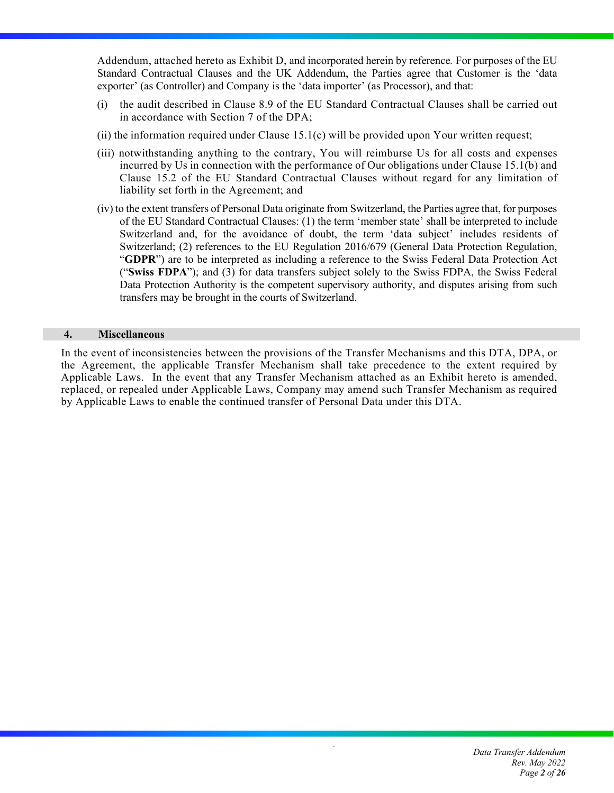Addendum, attached hereto as Exhibit D, and incorporated herein by reference*.* For purposes of the EU Standard Contractual Clauses and the UK Addendum, the Parties agree that Customer is the 'data exporter' (as Controller) and Company is the 'data importer' (as Processor), and that:

- (i) the audit described in Clause 8.9 of the EU Standard Contractual Clauses shall be carried out in accordance with Section 7 of the DPA;
- (ii) the information required under Clause 15.1(c) will be provided upon Your written request;
- (iii) notwithstanding anything to the contrary, You will reimburse Us for all costs and expenses incurred by Us in connection with the performance of Our obligations under Clause 15.1(b) and Clause 15.2 of the EU Standard Contractual Clauses without regard for any limitation of liability set forth in the Agreement; and
- (iv) to the extent transfers of Personal Data originate from Switzerland, the Parties agree that, for purposes of the EU Standard Contractual Clauses: (1) the term 'member state' shall be interpreted to include Switzerland and, for the avoidance of doubt, the term 'data subject' includes residents of Switzerland; (2) references to the EU Regulation 2016/679 (General Data Protection Regulation, "**GDPR**") are to be interpreted as including a reference to the Swiss Federal Data Protection Act ("**Swiss FDPA**"); and (3) for data transfers subject solely to the Swiss FDPA, the Swiss Federal Data Protection Authority is the competent supervisory authority, and disputes arising from such transfers may be brought in the courts of Switzerland.

#### **4. Miscellaneous**

In the event of inconsistencies between the provisions of the Transfer Mechanisms and this DTA, DPA, or the Agreement, the applicable Transfer Mechanism shall take precedence to the extent required by Applicable Laws. In the event that any Transfer Mechanism attached as an Exhibit hereto is amended, replaced, or repealed under Applicable Laws, Company may amend such Transfer Mechanism as required by Applicable Laws to enable the continued transfer of Personal Data under this DTA.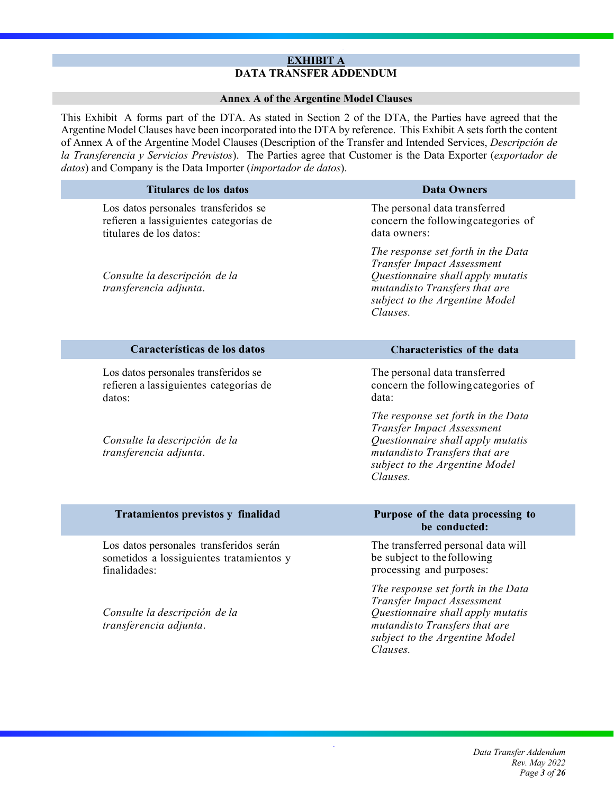#### **EXHIBIT A DATA TRANSFER ADDENDUM**

#### **Annex A of the Argentine Model Clauses**

This Exhibit A forms part of the DTA. As stated in Section 2 of the DTA, the Parties have agreed that the Argentine Model Clauses have been incorporated into the DTA by reference. This Exhibit A sets forth the content of Annex A of the Argentine Model Clauses (Description of the Transfer and Intended Services, *Descripción de la Transferencia y Servicios Previstos*). The Parties agree that Customer is the Data Exporter (*exportador de datos*) and Company is the Data Importer (*importador de datos*).

| <b>Titulares de los datos</b>                                                                             | <b>Data Owners</b>                                                                                                                                                                   |  |  |
|-----------------------------------------------------------------------------------------------------------|--------------------------------------------------------------------------------------------------------------------------------------------------------------------------------------|--|--|
| Los datos personales transferidos se<br>refieren a lassiguientes categorías de<br>titulares de los datos: | The personal data transferred<br>concern the following categories of<br>data owners:                                                                                                 |  |  |
| Consulte la descripción de la<br>transferencia adjunta.                                                   | The response set forth in the Data<br>Transfer Impact Assessment<br>Questionnaire shall apply mutatis<br>mutandisto Transfers that are<br>subject to the Argentine Model<br>Clauses. |  |  |
| Características de los datos                                                                              | <b>Characteristics of the data</b>                                                                                                                                                   |  |  |
| Los datos personales transferidos se<br>refieren a lassiguientes categorías de<br>datos:                  | The personal data transferred<br>concern the following categories of<br>data:                                                                                                        |  |  |
| Consulte la descripción de la<br>transferencia adjunta.                                                   | The response set forth in the Data<br>Transfer Impact Assessment<br>Questionnaire shall apply mutatis<br>mutandisto Transfers that are<br>subject to the Argentine Model<br>Clauses. |  |  |
| Tratamientos previstos y finalidad                                                                        | Purpose of the data processing to<br>be conducted:                                                                                                                                   |  |  |
| Los datos personales transferidos serán<br>sometidos a lossiguientes tratamientos y<br>finalidades:       | The transferred personal data will<br>be subject to the following<br>processing and purposes:                                                                                        |  |  |
| Consulte la descripción de la<br>transferencia adjunta.                                                   | The response set forth in the Data<br>Transfer Impact Assessment<br>Questionnaire shall apply mutatis<br>mutandisto Transfers that are<br>subject to the Argentine Model<br>Clauses. |  |  |

 $\mathbb{Z}$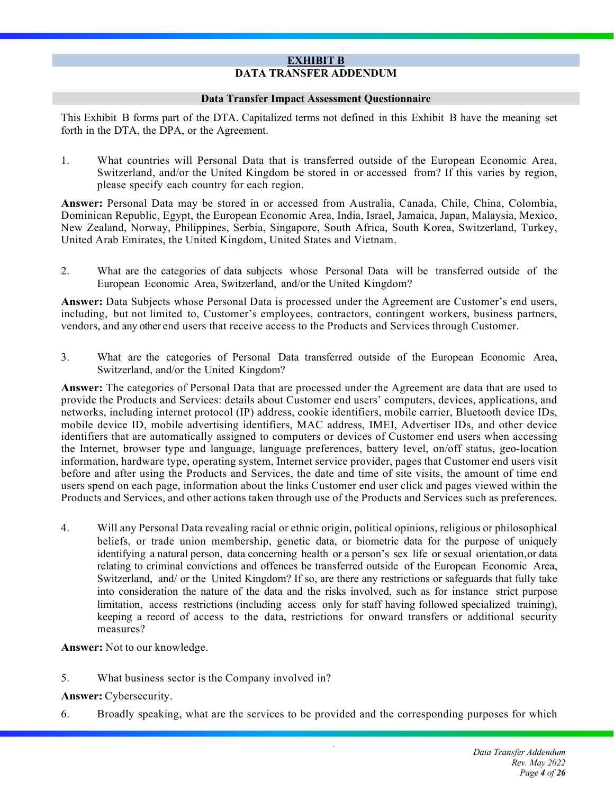#### **EXHIBIT B DATA TRANSFER ADDENDUM**

#### **Data Transfer Impact Assessment Questionnaire**

This Exhibit B forms part of the DTA. Capitalized terms not defined in this Exhibit B have the meaning set forth in the DTA, the DPA, or the Agreement.

1. What countries will Personal Data that is transferred outside of the European Economic Area, Switzerland, and/or the United Kingdom be stored in or accessed from? If this varies by region, please specify each country for each region.

**Answer:** Personal Data may be stored in or accessed from Australia, Canada, Chile, China, Colombia, Dominican Republic, Egypt, the European Economic Area, India, Israel, Jamaica, Japan, Malaysia, Mexico, New Zealand, Norway, Philippines, Serbia, Singapore, South Africa, South Korea, Switzerland, Turkey, United Arab Emirates, the United Kingdom, United States and Vietnam.

2. What are the categories of data subjects whose Personal Data will be transferred outside of the European Economic Area, Switzerland, and/or the United Kingdom?

**Answer:** Data Subjects whose Personal Data is processed under the Agreement are Customer's end users, including, but not limited to, Customer's employees, contractors, contingent workers, business partners, vendors, and any other end users that receive access to the Products and Services through Customer.

3. What are the categories of Personal Data transferred outside of the European Economic Area, Switzerland, and/or the United Kingdom?

**Answer:** The categories of Personal Data that are processed under the Agreement are data that are used to provide the Products and Services: details about Customer end users' computers, devices, applications, and networks, including internet protocol (IP) address, cookie identifiers, mobile carrier, Bluetooth device IDs, mobile device ID, mobile advertising identifiers, MAC address, IMEI, Advertiser IDs, and other device identifiers that are automatically assigned to computers or devices of Customer end users when accessing the Internet, browser type and language, language preferences, battery level, on/off status, geo-location information, hardware type, operating system, Internet service provider, pages that Customer end users visit before and after using the Products and Services, the date and time of site visits, the amount of time end users spend on each page, information about the links Customer end user click and pages viewed within the Products and Services, and other actions taken through use of the Products and Services such as preferences.

4. Will any Personal Data revealing racial or ethnic origin, political opinions, religious or philosophical beliefs, or trade union membership, genetic data, or biometric data for the purpose of uniquely identifying a natural person, data concerning health or a person's sex life or sexual orientation,or data relating to criminal convictions and offences be transferred outside of the European Economic Area, Switzerland, and/ or the United Kingdom? If so, are there any restrictions or safeguards that fully take into consideration the nature of the data and the risks involved, such as for instance strict purpose limitation, access restrictions (including access only for staff having followed specialized training), keeping a record of access to the data, restrictions for onward transfers or additional security measures?

**Answer:** Not to our knowledge.

5. What business sector is the Company involved in?

**Answer:** Cybersecurity.

6. Broadly speaking, what are the services to be provided and the corresponding purposes for which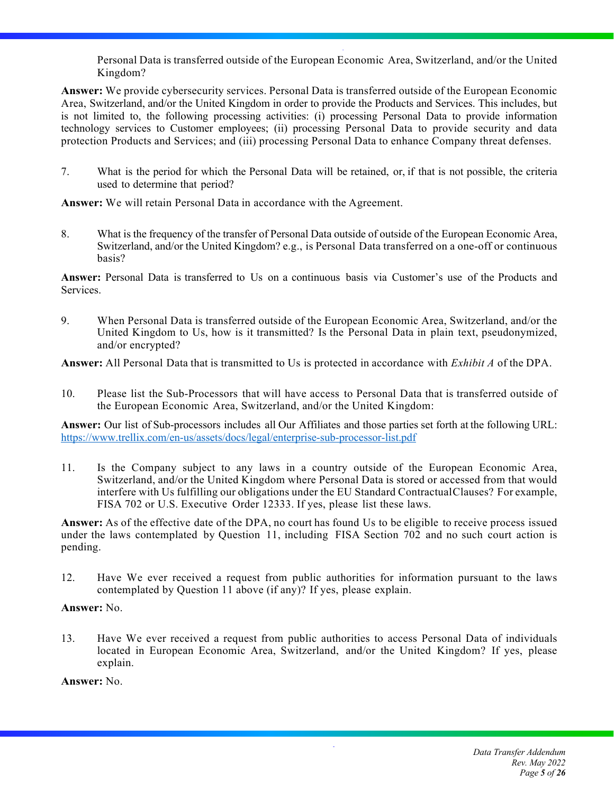Personal Data is transferred outside of the European Economic Area, Switzerland, and/or the United Kingdom?

**Answer:** We provide cybersecurity services. Personal Data is transferred outside of the European Economic Area, Switzerland, and/or the United Kingdom in order to provide the Products and Services. This includes, but is not limited to, the following processing activities: (i) processing Personal Data to provide information technology services to Customer employees; (ii) processing Personal Data to provide security and data protection Products and Services; and (iii) processing Personal Data to enhance Company threat defenses.

7. What is the period for which the Personal Data will be retained, or, if that is not possible, the criteria used to determine that period?

**Answer:** We will retain Personal Data in accordance with the Agreement.

8. What is the frequency of the transfer of Personal Data outside of outside of the European Economic Area, Switzerland, and/or the United Kingdom? e.g., is Personal Data transferred on a one-off or continuous basis?

**Answer:** Personal Data is transferred to Us on a continuous basis via Customer's use of the Products and Services.

9. When Personal Data is transferred outside of the European Economic Area, Switzerland, and/or the United Kingdom to Us, how is it transmitted? Is the Personal Data in plain text, pseudonymized, and/or encrypted?

**Answer:** All Personal Data that is transmitted to Us is protected in accordance with *Exhibit A* of the DPA.

10. Please list the Sub-Processors that will have access to Personal Data that is transferred outside of the European Economic Area, Switzerland, and/or the United Kingdom:

**Answer:** Our list of Sub-processors includes all Our Affiliates and those parties set forth at the following URL: https://www.trellix.com/en-us/assets/docs/legal/enterprise-sub-processor-list.pdf

11. Is the Company subject to any laws in a country outside of the European Economic Area, Switzerland, and/or the United Kingdom where Personal Data is stored or accessed from that would interfere with Us fulfilling our obligations under the EU Standard ContractualClauses? For example, FISA 702 or U.S. Executive Order 12333. If yes, please list these laws.

**Answer:** As of the effective date of the DPA, no court has found Us to be eligible to receive process issued under the laws contemplated by Question 11, including FISA Section 702 and no such court action is pending.

12. Have We ever received a request from public authorities for information pursuant to the laws contemplated by Question 11 above (if any)? If yes, please explain.

### **Answer:** No.

13. Have We ever received a request from public authorities to access Personal Data of individuals located in European Economic Area, Switzerland, and/or the United Kingdom? If yes, please explain.

 $\bar{z}$ 

**Answer:** No.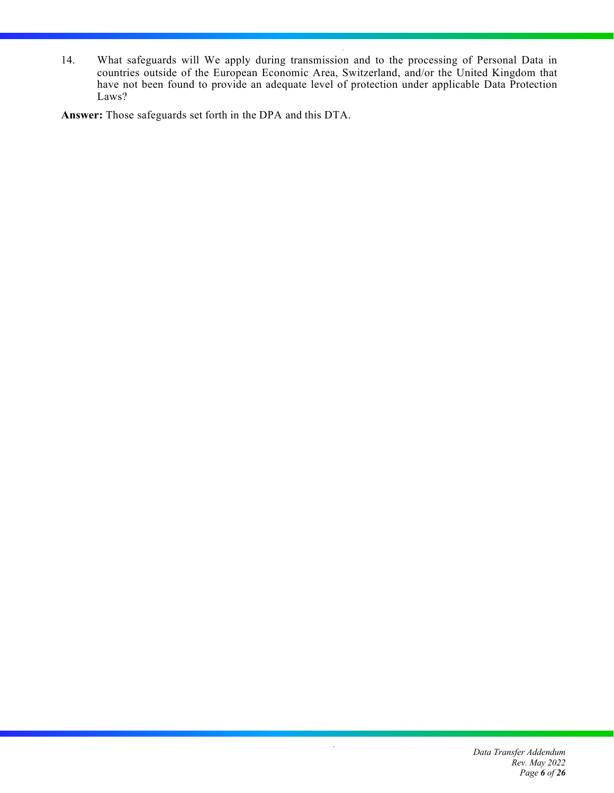14. What safeguards will We apply during transmission and to the processing of Personal Data in countries outside of the European Economic Area, Switzerland, and/or the United Kingdom that have not been found to provide an adequate level of protection under applicable Data Protection Laws?

 $\mathbb{Z}^2$ 

**Answer:** Those safeguards set forth in the DPA and this DTA.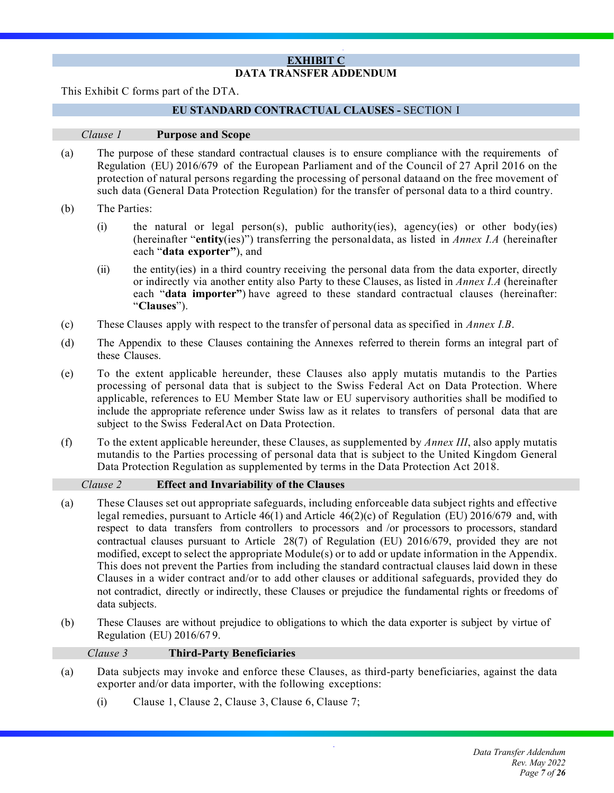#### **EXHIBIT C DATA TRANSFER ADDENDUM**

This Exhibit C forms part of the DTA.

# **EU STANDARD CONTRACTUAL CLAUSES -** SECTION I

#### *Clause 1* **Purpose and Scope**

- (a) The purpose of these standard contractual clauses is to ensure compliance with the requirements of Regulation (EU) 2016/679 of the European Parliament and of the Council of 27 April 2016 on the protection of natural persons regarding the processing of personal dataand on the free movement of such data (General Data Protection Regulation) for the transfer of personal data to a third country.
- (b) The Parties:
	- (i) the natural or legal person(s), public authority(ies), agency(ies) or other body(ies) (hereinafter "**entity**(ies)") transferring the personaldata, as listed in *Annex I.A* (hereinafter each "**data exporter"**), and
	- (ii) the entity(ies) in a third country receiving the personal data from the data exporter, directly or indirectly via another entity also Party to these Clauses, as listed in *Annex I.A* (hereinafter each "**data importer"**) have agreed to these standard contractual clauses (hereinafter: "**Clauses**").
- (c) These Clauses apply with respect to the transfer of personal data as specified in *Annex I.B*.
- (d) The Appendix to these Clauses containing the Annexes referred to therein forms an integral part of these Clauses.
- (e) To the extent applicable hereunder, these Clauses also apply mutatis mutandis to the Parties processing of personal data that is subject to the Swiss Federal Act on Data Protection. Where applicable, references to EU Member State law or EU supervisory authorities shall be modified to include the appropriate reference under Swiss law as it relates to transfers of personal data that are subject to the Swiss FederalAct on Data Protection.
- (f) To the extent applicable hereunder, these Clauses, as supplemented by *Annex III*, also apply mutatis mutandis to the Parties processing of personal data that is subject to the United Kingdom General Data Protection Regulation as supplemented by terms in the Data Protection Act 2018.

## *Clause 2* **Effect and Invariability of the Clauses**

- (a) These Clauses set out appropriate safeguards, including enforceable data subject rights and effective legal remedies, pursuant to Article 46(1) and Article 46(2)(c) of Regulation (EU) 2016/679 and, with respect to data transfers from controllers to processors and /or processors to processors, standard contractual clauses pursuant to Article 28(7) of Regulation (EU) 2016/679, provided they are not modified, except to select the appropriate Module(s) or to add or update information in the Appendix. This does not prevent the Parties from including the standard contractual clauses laid down in these Clauses in a wider contract and/or to add other clauses or additional safeguards, provided they do not contradict, directly or indirectly, these Clauses or prejudice the fundamental rights or freedoms of data subjects.
- (b) These Clauses are without prejudice to obligations to which the data exporter is subject by virtue of Regulation (EU) 2016/67 9.

#### *Clause 3* **Third-Party Beneficiaries**

- (a) Data subjects may invoke and enforce these Clauses, as third-party beneficiaries, against the data exporter and/or data importer, with the following exceptions:
	- (i) Clause 1, Clause 2, Clause 3, Clause 6, Clause 7;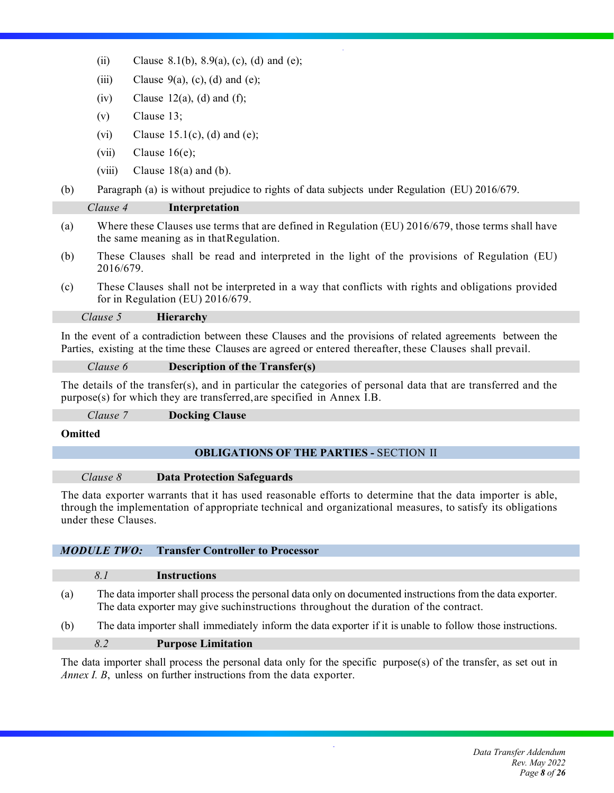- (ii) Clause 8.1(b), 8.9(a), (c), (d) and (e);
- (iii) Clause  $9(a)$ , (c), (d) and (e);
- (iv) Clause  $12(a)$ , (d) and (f);
- (v) Clause 13;
- (vi) Clause 15.1(c), (d) and (e);
- (vii) Clause  $16(e)$ ;
- (viii) Clause  $18(a)$  and (b).

(b) Paragraph (a) is without prejudice to rights of data subjects under Regulation (EU) 2016/679.

|     | Clause 4  | Interpretation                                                                                                                                |
|-----|-----------|-----------------------------------------------------------------------------------------------------------------------------------------------|
| (a) |           | Where these Clauses use terms that are defined in Regulation (EU) 2016/679, those terms shall have<br>the same meaning as in that Regulation. |
| (b) | 2016/679. | These Clauses shall be read and interpreted in the light of the provisions of Regulation (EU)                                                 |

(c) These Clauses shall not be interpreted in a way that conflicts with rights and obligations provided for in Regulation (EU) 2016/679.

*Clause 5* **Hierarchy**

In the event of a contradiction between these Clauses and the provisions of related agreements between the Parties, existing at the time these Clauses are agreed or entered thereafter, these Clauses shall prevail.

### *Clause 6* **Description of the Transfer(s)**

The details of the transfer(s), and in particular the categories of personal data that are transferred and the purpose(s) for which they are transferred,are specified in Annex I.B.

*Clause 7* **Docking Clause**

### **Omitted**

# **OBLIGATIONS OF THE PARTIES -** SECTION II

### *Clause 8* **Data Protection Safeguards**

The data exporter warrants that it has used reasonable efforts to determine that the data importer is able, through the implementation of appropriate technical and organizational measures, to satisfy its obligations under these Clauses.

# *MODULE TWO:* **Transfer Controller to Processor**

|     | <b>Instructions</b><br>8. I                                                                                                                                                                        |
|-----|----------------------------------------------------------------------------------------------------------------------------------------------------------------------------------------------------|
| (a) | The data importer shall process the personal data only on documented instructions from the data exporter.<br>The data exporter may give such instructions throughout the duration of the contract. |
| (b) | The data importer shall immediately inform the data exporter if it is unable to follow those instructions.                                                                                         |

### *8.2* **Purpose Limitation**

The data importer shall process the personal data only for the specific purpose(s) of the transfer, as set out in *Annex I. B*, unless on further instructions from the data exporter.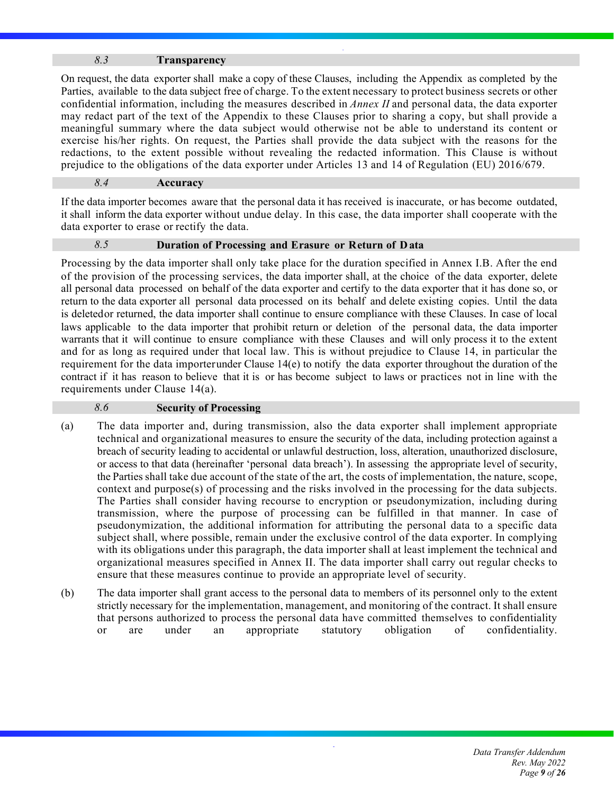## *8.3* **Transparency**

On request, the data exporter shall make a copy of these Clauses, including the Appendix as completed by the Parties, available to the data subject free of charge. To the extent necessary to protect business secrets or other confidential information, including the measures described in *Annex II* and personal data, the data exporter may redact part of the text of the Appendix to these Clauses prior to sharing a copy, but shall provide a meaningful summary where the data subject would otherwise not be able to understand its content or exercise his/her rights. On request, the Parties shall provide the data subject with the reasons for the redactions, to the extent possible without revealing the redacted information. This Clause is without prejudice to the obligations of the data exporter under Articles 13 and 14 of Regulation (EU) 2016/679.

### *8.4* **Accuracy**

If the data importer becomes aware that the personal data it has received is inaccurate, or has become outdated, it shall inform the data exporter without undue delay. In this case, the data importer shall cooperate with the data exporter to erase or rectify the data.

## *8.5* **Duration of Processing and Erasure or Return of Data**

Processing by the data importer shall only take place for the duration specified in Annex I.B. After the end of the provision of the processing services, the data importer shall, at the choice of the data exporter, delete all personal data processed on behalf of the data exporter and certify to the data exporter that it has done so, or return to the data exporter all personal data processed on its behalf and delete existing copies. Until the data is deletedor returned, the data importer shall continue to ensure compliance with these Clauses. In case of local laws applicable to the data importer that prohibit return or deletion of the personal data, the data importer warrants that it will continue to ensure compliance with these Clauses and will only process it to the extent and for as long as required under that local law. This is without prejudice to Clause 14, in particular the requirement for the data importerunder Clause 14(e) to notify the data exporter throughout the duration of the contract if it has reason to believe that it is or has become subject to laws or practices not in line with the requirements under Clause 14(a).

### *8.6* **Security of Processing**

- (a) The data importer and, during transmission, also the data exporter shall implement appropriate technical and organizational measures to ensure the security of the data, including protection against a breach of security leading to accidental or unlawful destruction, loss, alteration, unauthorized disclosure, or access to that data (hereinafter 'personal data breach'). In assessing the appropriate level of security, the Parties shall take due account of the state of the art, the costs of implementation, the nature, scope, context and purpose(s) of processing and the risks involved in the processing for the data subjects. The Parties shall consider having recourse to encryption or pseudonymization, including during transmission, where the purpose of processing can be fulfilled in that manner. In case of pseudonymization, the additional information for attributing the personal data to a specific data subject shall, where possible, remain under the exclusive control of the data exporter. In complying with its obligations under this paragraph, the data importer shall at least implement the technical and organizational measures specified in Annex II. The data importer shall carry out regular checks to ensure that these measures continue to provide an appropriate level of security.
- (b) The data importer shall grant access to the personal data to members of its personnel only to the extent strictly necessary for the implementation, management, and monitoring of the contract. It shall ensure that persons authorized to process the personal data have committed themselves to confidentiality or are under an appropriate statutory obligation of confidentiality.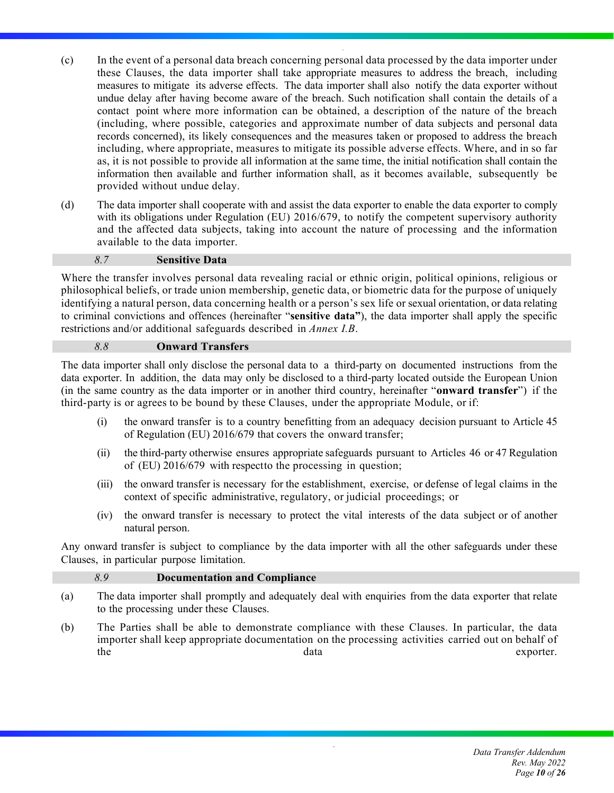- (c) In the event of a personal data breach concerning personal data processed by the data importer under these Clauses, the data importer shall take appropriate measures to address the breach, including measures to mitigate its adverse effects. The data importer shall also notify the data exporter without undue delay after having become aware of the breach. Such notification shall contain the details of a contact point where more information can be obtained, a description of the nature of the breach (including, where possible, categories and approximate number of data subjects and personal data records concerned), its likely consequences and the measures taken or proposed to address the breach including, where appropriate, measures to mitigate its possible adverse effects. Where, and in so far as, it is not possible to provide all information at the same time, the initial notification shall contain the information then available and further information shall, as it becomes available, subsequently be provided without undue delay.
- (d) The data importer shall cooperate with and assist the data exporter to enable the data exporter to comply with its obligations under Regulation (EU) 2016/679, to notify the competent supervisory authority and the affected data subjects, taking into account the nature of processing and the information available to the data importer.

#### *8.7* **Sensitive Data**

Where the transfer involves personal data revealing racial or ethnic origin, political opinions, religious or philosophical beliefs, or trade union membership, genetic data, or biometric data for the purpose of uniquely identifying a natural person, data concerning health or a person's sex life or sexual orientation, or data relating to criminal convictions and offences (hereinafter "**sensitive data"**), the data importer shall apply the specific restrictions and/or additional safeguards described in *Annex I.B*.

## *8.8* **Onward Transfers**

The data importer shall only disclose the personal data to a third-party on documented instructions from the data exporter. In addition, the data may only be disclosed to a third-party located outside the European Union (in the same country as the data importer or in another third country, hereinafter "**onward transfer**") if the third-party is or agrees to be bound by these Clauses, under the appropriate Module, or if:

- (i) the onward transfer is to a country benefitting from an adequacy decision pursuant to Article 45 of Regulation (EU) 2016/679 that covers the onward transfer;
- (ii) the third-party otherwise ensures appropriate safeguards pursuant to Articles 46 or 47 Regulation of (EU) 2016/679 with respectto the processing in question;
- (iii) the onward transfer is necessary for the establishment, exercise, or defense of legal claims in the context of specific administrative, regulatory, or judicial proceedings; or
- (iv) the onward transfer is necessary to protect the vital interests of the data subject or of another natural person.

Any onward transfer is subject to compliance by the data importer with all the other safeguards under these Clauses, in particular purpose limitation.

# *8.9* **Documentation and Compliance**

- (a) The data importer shall promptly and adequately deal with enquiries from the data exporter that relate to the processing under these Clauses.
- (b) The Parties shall be able to demonstrate compliance with these Clauses. In particular, the data importer shall keep appropriate documentation on the processing activities carried out on behalf of the exporter.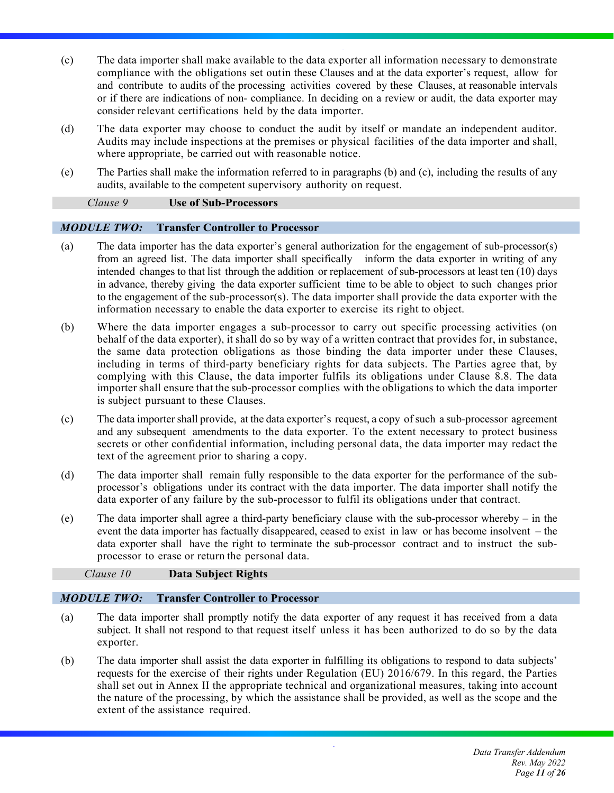- (c) The data importer shall make available to the data exporter all information necessary to demonstrate compliance with the obligations set outin these Clauses and at the data exporter's request, allow for and contribute to audits of the processing activities covered by these Clauses, at reasonable intervals or if there are indications of non- compliance. In deciding on a review or audit, the data exporter may consider relevant certifications held by the data importer.
- (d) The data exporter may choose to conduct the audit by itself or mandate an independent auditor. Audits may include inspections at the premises or physical facilities of the data importer and shall, where appropriate, be carried out with reasonable notice.
- (e) The Parties shall make the information referred to in paragraphs (b) and (c), including the results of any audits, available to the competent supervisory authority on request.

### *Clause 9* **Use of Sub-Processors**

#### *MODULE TWO:* **Transfer Controller to Processor**

- (a) The data importer has the data exporter's general authorization for the engagement of sub-processor(s) from an agreed list. The data importer shall specifically inform the data exporter in writing of any intended changes to that list through the addition or replacement of sub-processors at least ten (10) days in advance, thereby giving the data exporter sufficient time to be able to object to such changes prior to the engagement of the sub-processor(s). The data importer shall provide the data exporter with the information necessary to enable the data exporter to exercise its right to object.
- (b) Where the data importer engages a sub-processor to carry out specific processing activities (on behalf of the data exporter), it shall do so by way of a written contract that provides for, in substance, the same data protection obligations as those binding the data importer under these Clauses, including in terms of third-party beneficiary rights for data subjects. The Parties agree that, by complying with this Clause, the data importer fulfils its obligations under Clause 8.8. The data importer shall ensure that the sub-processor complies with the obligations to which the data importer is subject pursuant to these Clauses.
- (c) The data importer shall provide, at the data exporter's request, a copy of such a sub-processor agreement and any subsequent amendments to the data exporter. To the extent necessary to protect business secrets or other confidential information, including personal data, the data importer may redact the text of the agreement prior to sharing a copy.
- (d) The data importer shall remain fully responsible to the data exporter for the performance of the subprocessor's obligations under its contract with the data importer. The data importer shall notify the data exporter of any failure by the sub-processor to fulfil its obligations under that contract.
- (e) The data importer shall agree a third-party beneficiary clause with the sub-processor whereby in the event the data importer has factually disappeared, ceased to exist in law or has become insolvent – the data exporter shall have the right to terminate the sub-processor contract and to instruct the subprocessor to erase or return the personal data.

## *Clause 10* **Data Subject Rights**

## *MODULE TWO:* **Transfer Controller to Processor**

- (a) The data importer shall promptly notify the data exporter of any request it has received from a data subject. It shall not respond to that request itself unless it has been authorized to do so by the data exporter.
- (b) The data importer shall assist the data exporter in fulfilling its obligations to respond to data subjects' requests for the exercise of their rights under Regulation (EU) 2016/679. In this regard, the Parties shall set out in Annex II the appropriate technical and organizational measures, taking into account the nature of the processing, by which the assistance shall be provided, as well as the scope and the extent of the assistance required.

 $\bar{z}$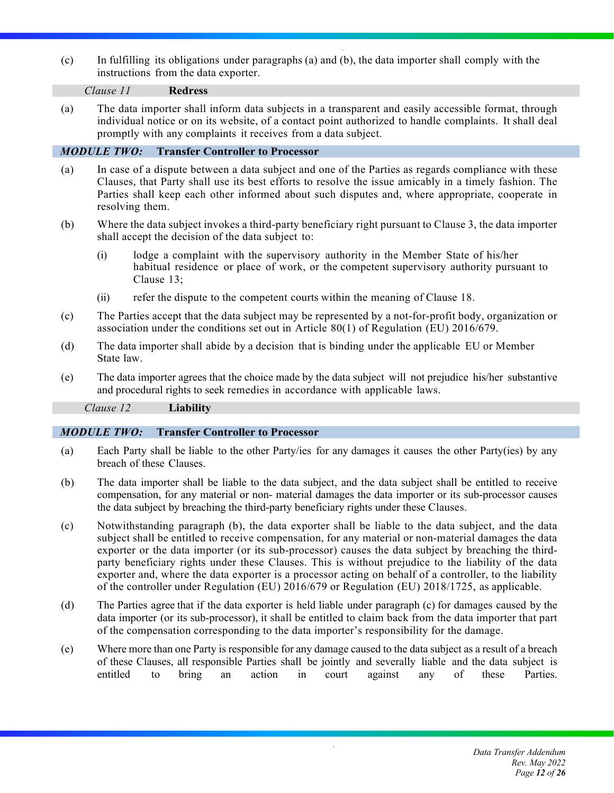(c) In fulfilling its obligations under paragraphs (a) and (b), the data importer shall comply with the instructions from the data exporter.

#### *Clause 11* **Redress**

(a) The data importer shall inform data subjects in a transparent and easily accessible format, through individual notice or on its website, of a contact point authorized to handle complaints. It shall deal promptly with any complaints it receives from a data subject.

## *MODULE TWO:* **Transfer Controller to Processor**

- (a) In case of a dispute between a data subject and one of the Parties as regards compliance with these Clauses, that Party shall use its best efforts to resolve the issue amicably in a timely fashion. The Parties shall keep each other informed about such disputes and, where appropriate, cooperate in resolving them.
- (b) Where the data subject invokes a third-party beneficiary right pursuant to Clause 3, the data importer shall accept the decision of the data subject to:
	- (i) lodge a complaint with the supervisory authority in the Member State of his/her habitual residence or place of work, or the competent supervisory authority pursuant to Clause 13;
	- (ii) refer the dispute to the competent courts within the meaning of Clause 18.
- (c) The Parties accept that the data subject may be represented by a not-for-profit body, organization or association under the conditions set out in Article 80(1) of Regulation (EU) 2016/679.
- (d) The data importer shall abide by a decision that is binding under the applicable EU or Member State law.
- (e) The data importer agrees that the choice made by the data subject will not prejudice his/her substantive and procedural rights to seek remedies in accordance with applicable laws.

*Clause 12* **Liability**

## *MODULE TWO:* **Transfer Controller to Processor**

- (a) Each Party shall be liable to the other Party/ies for any damages it causes the other Party(ies) by any breach of these Clauses.
- (b) The data importer shall be liable to the data subject, and the data subject shall be entitled to receive compensation, for any material or non- material damages the data importer or its sub-processor causes the data subject by breaching the third-party beneficiary rights under these Clauses.
- (c) Notwithstanding paragraph (b), the data exporter shall be liable to the data subject, and the data subject shall be entitled to receive compensation, for any material or non-material damages the data exporter or the data importer (or its sub-processor) causes the data subject by breaching the thirdparty beneficiary rights under these Clauses. This is without prejudice to the liability of the data exporter and, where the data exporter is a processor acting on behalf of a controller, to the liability of the controller under Regulation (EU) 2016/679 or Regulation (EU) 2018/1725, as applicable.
- (d) The Parties agree that if the data exporter is held liable under paragraph (c) for damages caused by the data importer (or its sub-processor), it shall be entitled to claim back from the data importer that part of the compensation corresponding to the data importer's responsibility for the damage.
- (e) Where more than one Party is responsible for any damage caused to the data subject as a result of a breach of these Clauses, all responsible Parties shall be jointly and severally liable and the data subject is entitled to bring an action in court against any of these Parties.

 $\bar{z}$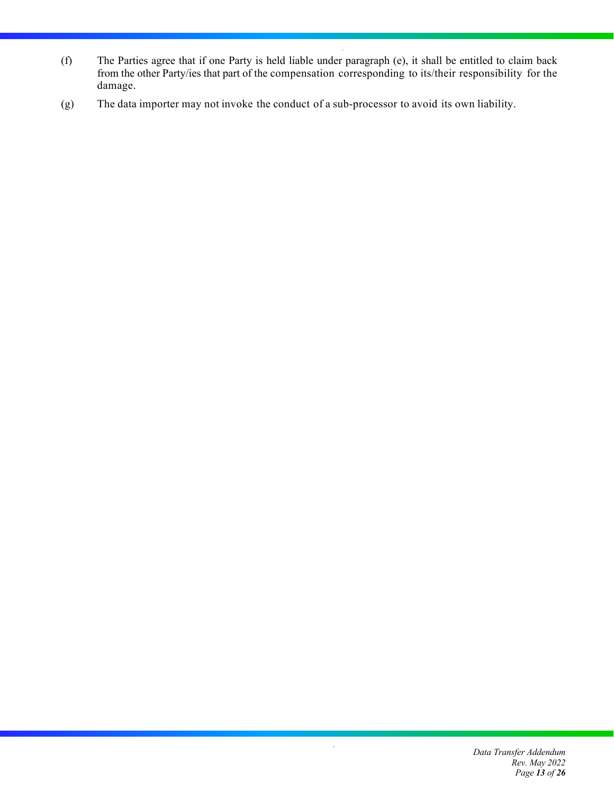(f) The Parties agree that if one Party is held liable under paragraph (e), it shall be entitled to claim back from the other Party/ies that part of the compensation corresponding to its/their responsibility for the damage.

 $\hat{\mathcal{A}}$ 

(g) The data importer may not invoke the conduct of a sub-processor to avoid its own liability.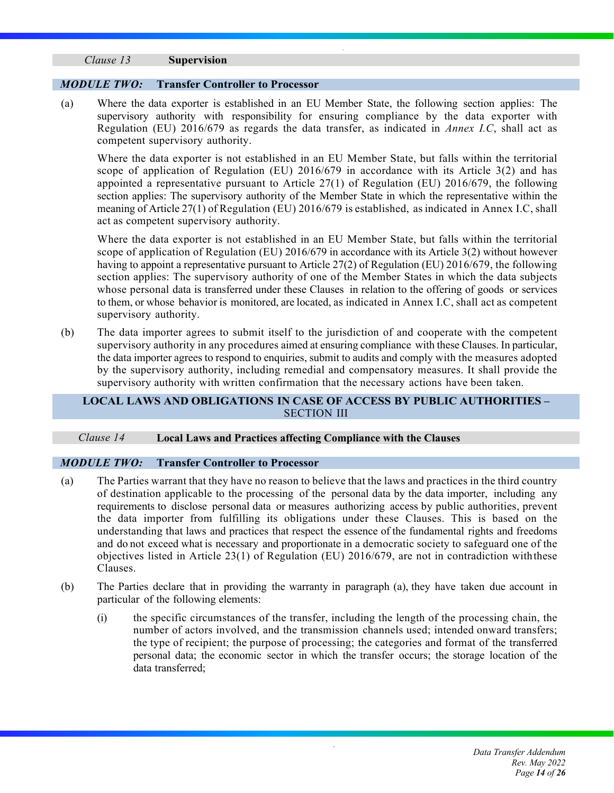#### *Clause 13* **Supervision**

#### *MODULE TWO:* **Transfer Controller to Processor**

(a) Where the data exporter is established in an EU Member State, the following section applies: The supervisory authority with responsibility for ensuring compliance by the data exporter with Regulation (EU) 2016/679 as regards the data transfer, as indicated in *Annex I.C*, shall act as competent supervisory authority.

Where the data exporter is not established in an EU Member State, but falls within the territorial scope of application of Regulation (EU) 2016/679 in accordance with its Article 3(2) and has appointed a representative pursuant to Article 27(1) of Regulation (EU) 2016/679, the following section applies: The supervisory authority of the Member State in which the representative within the meaning of Article 27(1) of Regulation (EU) 2016/679 is established, as indicated in Annex I.C, shall act as competent supervisory authority.

Where the data exporter is not established in an EU Member State, but falls within the territorial scope of application of Regulation (EU) 2016/679 in accordance with its Article 3(2) without however having to appoint a representative pursuant to Article 27(2) of Regulation (EU) 2016/679, the following section applies: The supervisory authority of one of the Member States in which the data subjects whose personal data is transferred under these Clauses in relation to the offering of goods or services to them, or whose behavior is monitored, are located, as indicated in Annex I.C, shall act as competent supervisory authority.

(b) The data importer agrees to submit itself to the jurisdiction of and cooperate with the competent supervisory authority in any procedures aimed at ensuring compliance with these Clauses. In particular, the data importer agrees to respond to enquiries, submit to audits and comply with the measures adopted by the supervisory authority, including remedial and compensatory measures. It shall provide the supervisory authority with written confirmation that the necessary actions have been taken.

### **LOCAL LAWS AND OBLIGATIONS IN CASE OF ACCESS BY PUBLIC AUTHORITIES –** SECTION III

## *Clause 14* **Local Laws and Practices affecting Compliance with the Clauses**

### *MODULE TWO:* **Transfer Controller to Processor**

- (a) The Parties warrant that they have no reason to believe that the laws and practices in the third country of destination applicable to the processing of the personal data by the data importer, including any requirements to disclose personal data or measures authorizing access by public authorities, prevent the data importer from fulfilling its obligations under these Clauses. This is based on the understanding that laws and practices that respect the essence of the fundamental rights and freedoms and do not exceed what is necessary and proportionate in a democratic society to safeguard one of the objectives listed in Article 23(1) of Regulation (EU) 2016/679, are not in contradiction withthese Clauses.
- (b) The Parties declare that in providing the warranty in paragraph (a), they have taken due account in particular of the following elements:
	- (i) the specific circumstances of the transfer, including the length of the processing chain, the number of actors involved, and the transmission channels used; intended onward transfers; the type of recipient; the purpose of processing; the categories and format of the transferred personal data; the economic sector in which the transfer occurs; the storage location of the data transferred;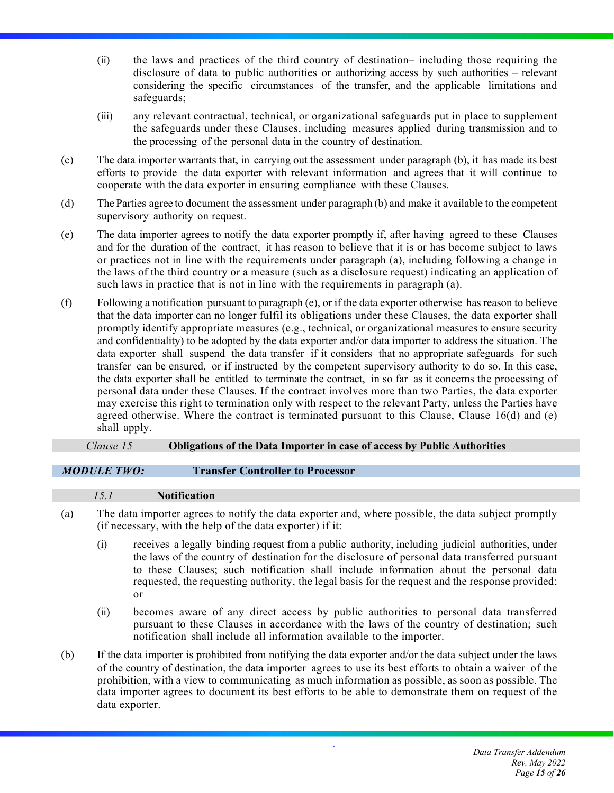- (ii) the laws and practices of the third country of destination– including those requiring the disclosure of data to public authorities or authorizing access by such authorities – relevant considering the specific circumstances of the transfer, and the applicable limitations and safeguards;
- (iii) any relevant contractual, technical, or organizational safeguards put in place to supplement the safeguards under these Clauses, including measures applied during transmission and to the processing of the personal data in the country of destination.
- (c) The data importer warrants that, in carrying out the assessment under paragraph (b), it has made its best efforts to provide the data exporter with relevant information and agrees that it will continue to cooperate with the data exporter in ensuring compliance with these Clauses.
- (d) The Parties agree to document the assessment under paragraph (b) and make it available to the competent supervisory authority on request.
- (e) The data importer agrees to notify the data exporter promptly if, after having agreed to these Clauses and for the duration of the contract, it has reason to believe that it is or has become subject to laws or practices not in line with the requirements under paragraph (a), including following a change in the laws of the third country or a measure (such as a disclosure request) indicating an application of such laws in practice that is not in line with the requirements in paragraph (a).
- (f) Following a notification pursuant to paragraph (e), or if the data exporter otherwise has reason to believe that the data importer can no longer fulfil its obligations under these Clauses, the data exporter shall promptly identify appropriate measures (e.g., technical, or organizational measures to ensure security and confidentiality) to be adopted by the data exporter and/or data importer to address the situation. The data exporter shall suspend the data transfer if it considers that no appropriate safeguards for such transfer can be ensured, or if instructed by the competent supervisory authority to do so. In this case, the data exporter shall be entitled to terminate the contract, in so far as it concerns the processing of personal data under these Clauses. If the contract involves more than two Parties, the data exporter may exercise this right to termination only with respect to the relevant Party, unless the Parties have agreed otherwise. Where the contract is terminated pursuant to this Clause, Clause 16(d) and (e) shall apply.

*Clause 15* **Obligations of the Data Importer in case of access by Public Authorities**

### *MODULE TWO:* **Transfer Controller to Processor**

### *15.1* **Notification**

- (a) The data importer agrees to notify the data exporter and, where possible, the data subject promptly (if necessary, with the help of the data exporter) if it:
	- (i) receives a legally binding request from a public authority, including judicial authorities, under the laws of the country of destination for the disclosure of personal data transferred pursuant to these Clauses; such notification shall include information about the personal data requested, the requesting authority, the legal basis for the request and the response provided; or
	- (ii) becomes aware of any direct access by public authorities to personal data transferred pursuant to these Clauses in accordance with the laws of the country of destination; such notification shall include all information available to the importer.
- (b) If the data importer is prohibited from notifying the data exporter and/or the data subject under the laws of the country of destination, the data importer agrees to use its best efforts to obtain a waiver of the prohibition, with a view to communicating as much information as possible, as soon as possible. The data importer agrees to document its best efforts to be able to demonstrate them on request of the data exporter.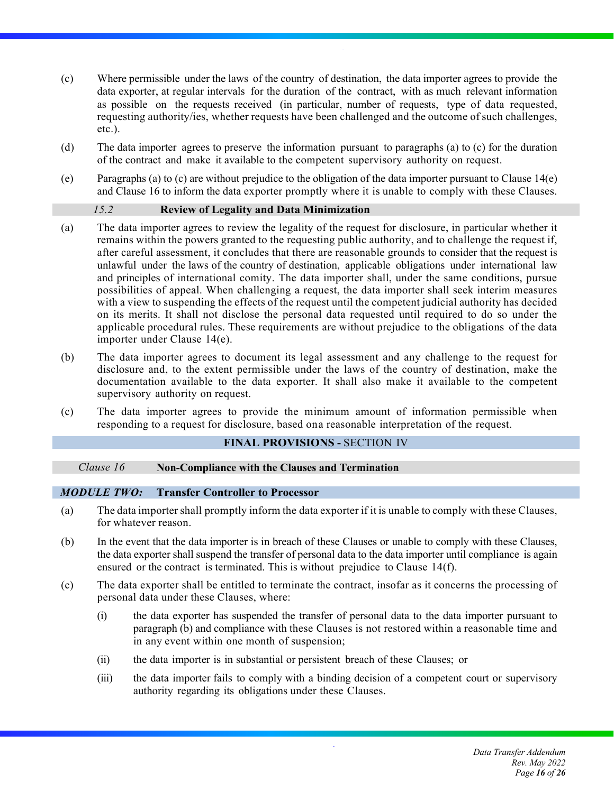- (c) Where permissible under the laws of the country of destination, the data importer agrees to provide the data exporter, at regular intervals for the duration of the contract, with as much relevant information as possible on the requests received (in particular, number of requests, type of data requested, requesting authority/ies, whether requests have been challenged and the outcome ofsuch challenges, etc.).
- (d) The data importer agrees to preserve the information pursuant to paragraphs (a) to (c) for the duration of the contract and make it available to the competent supervisory authority on request.
- (e) Paragraphs (a) to (c) are without prejudice to the obligation of the data importer pursuant to Clause 14(e) and Clause 16 to inform the data exporter promptly where it is unable to comply with these Clauses.

### *15.2* **Review of Legality and Data Minimization**

- (a) The data importer agrees to review the legality of the request for disclosure, in particular whether it remains within the powers granted to the requesting public authority, and to challenge the request if, after careful assessment, it concludes that there are reasonable grounds to consider that the request is unlawful under the laws of the country of destination, applicable obligations under international law and principles of international comity. The data importer shall, under the same conditions, pursue possibilities of appeal. When challenging a request, the data importer shall seek interim measures with a view to suspending the effects of the request until the competent judicial authority has decided on its merits. It shall not disclose the personal data requested until required to do so under the applicable procedural rules. These requirements are without prejudice to the obligations of the data importer under Clause 14(e).
- (b) The data importer agrees to document its legal assessment and any challenge to the request for disclosure and, to the extent permissible under the laws of the country of destination, make the documentation available to the data exporter. It shall also make it available to the competent supervisory authority on request.
- (c) The data importer agrees to provide the minimum amount of information permissible when responding to a request for disclosure, based ona reasonable interpretation of the request.

# **FINAL PROVISIONS -** SECTION IV

### *Clause 16* **Non-Compliance with the Clauses and Termination**

## *MODULE TWO:* **Transfer Controller to Processor**

- (a) The data importer shall promptly inform the data exporter if it is unable to comply with these Clauses, for whatever reason.
- (b) In the event that the data importer is in breach of these Clauses or unable to comply with these Clauses, the data exporter shall suspend the transfer of personal data to the data importer until compliance is again ensured or the contract is terminated. This is without prejudice to Clause 14(f).
- (c) The data exporter shall be entitled to terminate the contract, insofar as it concerns the processing of personal data under these Clauses, where:
	- (i) the data exporter has suspended the transfer of personal data to the data importer pursuant to paragraph (b) and compliance with these Clauses is not restored within a reasonable time and in any event within one month of suspension;
	- (ii) the data importer is in substantial or persistent breach of these Clauses; or
	- (iii) the data importer fails to comply with a binding decision of a competent court or supervisory authority regarding its obligations under these Clauses.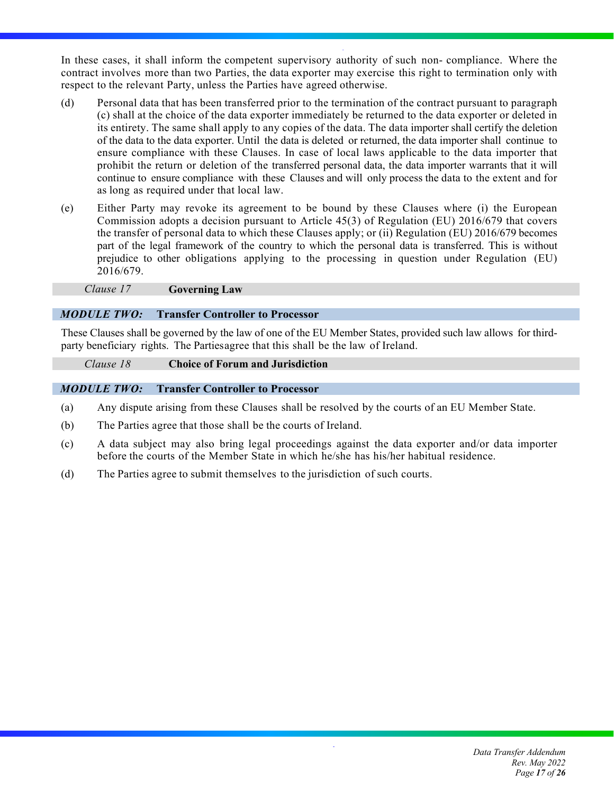In these cases, it shall inform the competent supervisory authority of such non- compliance. Where the contract involves more than two Parties, the data exporter may exercise this right to termination only with respect to the relevant Party, unless the Parties have agreed otherwise.

- (d) Personal data that has been transferred prior to the termination of the contract pursuant to paragraph (c) shall at the choice of the data exporter immediately be returned to the data exporter or deleted in its entirety. The same shall apply to any copies of the data. The data importer shall certify the deletion of the data to the data exporter. Until the data is deleted or returned, the data importer shall continue to ensure compliance with these Clauses. In case of local laws applicable to the data importer that prohibit the return or deletion of the transferred personal data, the data importer warrants that it will continue to ensure compliance with these Clauses and will only process the data to the extent and for as long as required under that local law.
- (e) Either Party may revoke its agreement to be bound by these Clauses where (i) the European Commission adopts a decision pursuant to Article 45(3) of Regulation (EU) 2016/679 that covers the transfer of personal data to which these Clauses apply; or (ii) Regulation (EU) 2016/679 becomes part of the legal framework of the country to which the personal data is transferred. This is without prejudice to other obligations applying to the processing in question under Regulation (EU) 2016/679.

*Clause 17* **Governing Law**

## *MODULE TWO:* **Transfer Controller to Processor**

These Clauses shall be governed by the law of one of the EU Member States, provided such law allows for thirdparty beneficiary rights. The Partiesagree that this shall be the law of Ireland.

# *Clause 18* **Choice of Forum and Jurisdiction**

## *MODULE TWO:* **Transfer Controller to Processor**

- (a) Any dispute arising from these Clauses shall be resolved by the courts of an EU Member State.
- (b) The Parties agree that those shall be the courts of Ireland.
- (c) A data subject may also bring legal proceedings against the data exporter and/or data importer before the courts of the Member State in which he/she has his/her habitual residence.
- (d) The Parties agree to submit themselves to the jurisdiction of such courts.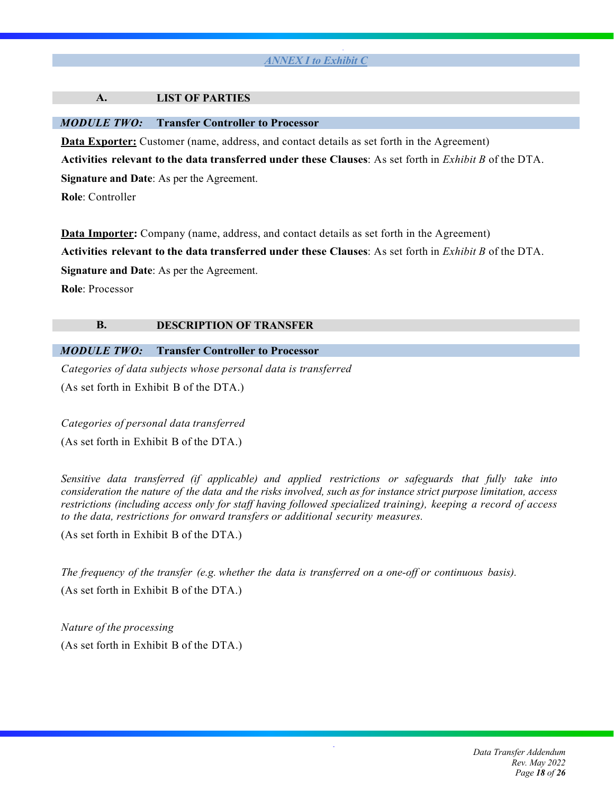# *ANNEX I to Exhibit C*

#### **A. LIST OF PARTIES**

#### *MODULE TWO:* **Transfer Controller to Processor**

**Data Exporter:** Customer (name, address, and contact details as set forth in the Agreement) **Activities relevant to the data transferred under these Clauses**: As set forth in *Exhibit B* of the DTA. **Signature and Date**: As per the Agreement.

**Role**: Controller

**Data Importer:** Company (name, address, and contact details as set forth in the Agreement) **Activities relevant to the data transferred under these Clauses**: As set forth in *Exhibit B* of the DTA.

**Signature and Date**: As per the Agreement.

**Role**: Processor

### **B. DESCRIPTION OF TRANSFER**

### *MODULE TWO:* **Transfer Controller to Processor**

*Categories of data subjects whose personal data is transferred* (As set forth in Exhibit B of the DTA.)

*Categories of personal data transferred*

(As set forth in Exhibit B of the DTA.)

*Sensitive data transferred (if applicable) and applied restrictions or safeguards that fully take into consideration the nature of the data and the risks involved, such as for instance strict purpose limitation, access restrictions (including access only for staff having followed specialized training), keeping a record of access to the data, restrictions for onward transfers or additional security measures.*

J.

(As set forth in Exhibit B of the DTA.)

*The frequency of the transfer (e.g. whether the data is transferred on a one-off or continuous basis).* (As set forth in Exhibit B of the DTA.)

*Nature of the processing* (As set forth in Exhibit B of the DTA.)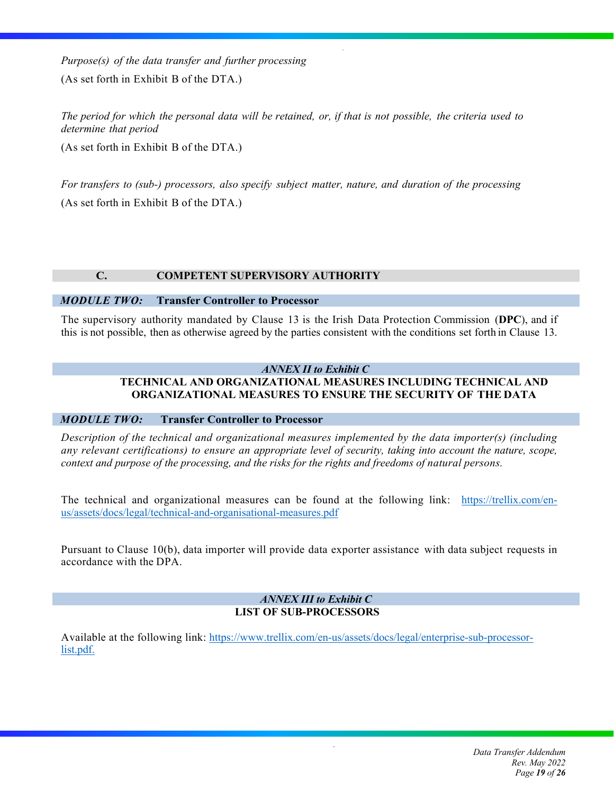*Purpose(s) of the data transfer and further processing* (As set forth in Exhibit B of the DTA.)

The period for which the personal data will be retained, or, if that is not possible, the criteria used to *determine that period*

(As set forth in Exhibit B of the DTA.)

*For transfers to (sub-) processors, also specify subject matter, nature, and duration of the processing* (As set forth in Exhibit B of the DTA.)

# **C. COMPETENT SUPERVISORY AUTHORITY**

## *MODULE TWO:* **Transfer Controller to Processor**

The supervisory authority mandated by Clause 13 is the Irish Data Protection Commission (**DPC**), and if this is not possible, then as otherwise agreed by the parties consistent with the conditions set forth in Clause 13.

# *ANNEX II to Exhibit C*

# **TECHNICAL AND ORGANIZATIONAL MEASURES INCLUDING TECHNICAL AND ORGANIZATIONAL MEASURES TO ENSURE THE SECURITY OF THE DATA**

### *MODULE TWO:* **Transfer Controller to Processor**

*Description of the technical and organizational measures implemented by the data importer(s) (including any relevant certifications) to ensure an appropriate level of security, taking into account the nature, scope, context and purpose of the processing, and the risks for the rights and freedoms of natural persons.*

The technical and organizational measures can be found at the following link: https://trellix.com/enus/assets/docs/legal/technical-and-organisational-measures.pdf

Pursuant to Clause 10(b), data importer will provide data exporter assistance with data subject requests in accordance with the DPA.

#### *ANNEX III to Exhibit C* **LIST OF SUB-PROCESSORS**

Available at the following link: https://www.trellix.com/en-us/assets/docs/legal/enterprise-sub-processorlist.pdf.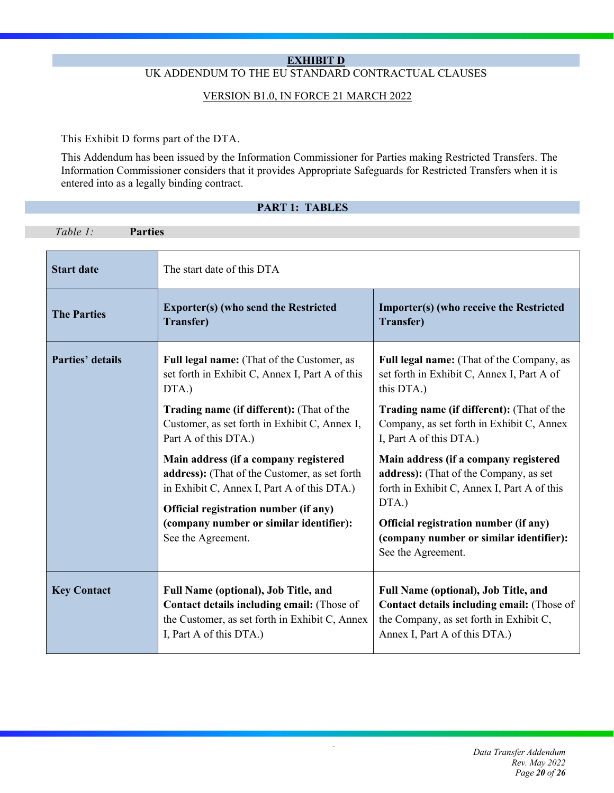## **EXHIBIT D**

### UK ADDENDUM TO THE EU STANDARD CONTRACTUAL CLAUSES

## VERSION B1.0, IN FORCE 21 MARCH 2022

This Exhibit D forms part of the DTA.

This Addendum has been issued by the Information Commissioner for Parties making Restricted Transfers. The Information Commissioner considers that it provides Appropriate Safeguards for Restricted Transfers when it is entered into as a legally binding contract.

**PART 1: TABLES**

#### *Table 1:* **Parties Start date** The start date of this DTA **The Parties Exporter(s) (who send the Restricted Transfer) Importer(s) (who receive the Restricted Transfer) Parties' details Full legal name:** (That of the Customer, as set forth in Exhibit C, Annex I, Part A of this DTA.) **Trading name (if different):** (That of the Customer, as set forth in Exhibit C, Annex I, Part A of this DTA.) **Main address (if a company registered address):** (That of the Customer, as set forth in Exhibit C, Annex I, Part A of this DTA.) **Official registration number (if any) (company number or similar identifier):** See the Agreement. **Full legal name:** (That of the Company, as set forth in Exhibit C, Annex I, Part A of this DTA.) **Trading name (if different):** (That of the Company, as set forth in Exhibit C, Annex I, Part A of this DTA.) **Main address (if a company registered address):** (That of the Company, as set forth in Exhibit C, Annex I, Part A of this DTA.) **Official registration number (if any) (company number or similar identifier):** See the Agreement. **Key Contact Full Name (optional), Job Title, and Contact details including email:** (Those of the Customer, as set forth in Exhibit C, Annex I, Part A of this DTA.) **Full Name (optional), Job Title, and Contact details including email:** (Those of the Company, as set forth in Exhibit C, Annex I, Part A of this DTA.)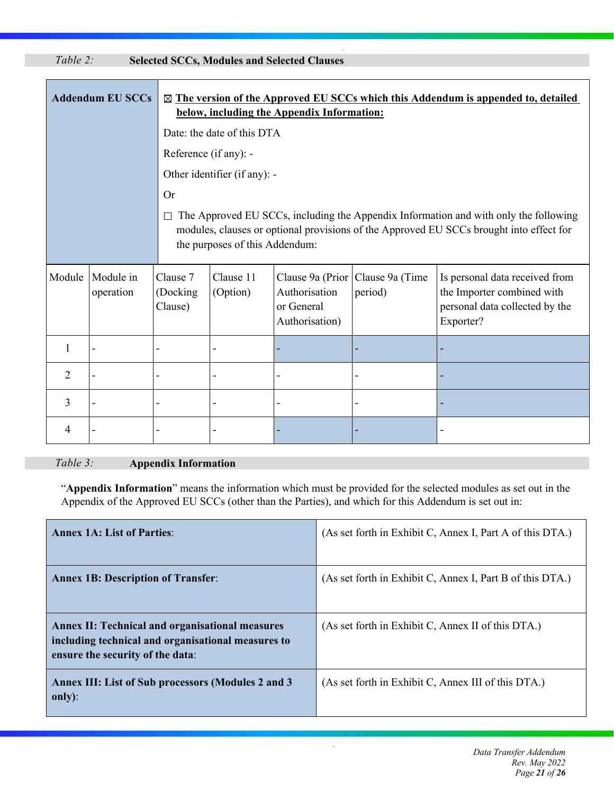# *Table 2:* **Selected SCCs, Modules and Selected Clauses**

| <b>Addendum EU SCCs</b>                                                                                                                                                                                           |                                 | $\boxtimes$ The version of the Approved EU SCCs which this Addendum is appended to, detailed<br>below, including the Appendix Information: |                            |                                               |                                                |                                                                                                             |
|-------------------------------------------------------------------------------------------------------------------------------------------------------------------------------------------------------------------|---------------------------------|--------------------------------------------------------------------------------------------------------------------------------------------|----------------------------|-----------------------------------------------|------------------------------------------------|-------------------------------------------------------------------------------------------------------------|
|                                                                                                                                                                                                                   |                                 |                                                                                                                                            | Date: the date of this DTA |                                               |                                                |                                                                                                             |
|                                                                                                                                                                                                                   |                                 |                                                                                                                                            | Reference (if any): -      |                                               |                                                |                                                                                                             |
|                                                                                                                                                                                                                   |                                 | Other identifier (if any): -                                                                                                               |                            |                                               |                                                |                                                                                                             |
|                                                                                                                                                                                                                   |                                 | <b>Or</b>                                                                                                                                  |                            |                                               |                                                |                                                                                                             |
| The Approved EU SCCs, including the Appendix Information and with only the following<br>modules, clauses or optional provisions of the Approved EU SCCs brought into effect for<br>the purposes of this Addendum: |                                 |                                                                                                                                            |                            |                                               |                                                |                                                                                                             |
|                                                                                                                                                                                                                   | Module   Module in<br>operation | Clause 7<br>(Docking)<br>Clause)                                                                                                           | Clause 11<br>(Option)      | Authorisation<br>or General<br>Authorisation) | Clause 9a (Prior   Clause 9a (Time)<br>period) | Is personal data received from<br>the Importer combined with<br>personal data collected by the<br>Exporter? |
|                                                                                                                                                                                                                   |                                 | $\blacksquare$                                                                                                                             |                            |                                               |                                                |                                                                                                             |
| 2                                                                                                                                                                                                                 |                                 |                                                                                                                                            |                            |                                               |                                                |                                                                                                             |
| 3                                                                                                                                                                                                                 |                                 |                                                                                                                                            |                            |                                               |                                                |                                                                                                             |
| 4                                                                                                                                                                                                                 |                                 |                                                                                                                                            |                            |                                               |                                                |                                                                                                             |

# *Table 3:* **Appendix Information**

"**Appendix Information**" means the information which must be provided for the selected modules as set out in the Appendix of the Approved EU SCCs (other than the Parties), and which for this Addendum is set out in:

| <b>Annex 1A: List of Parties:</b>                                                                                                                | (As set forth in Exhibit C, Annex I, Part A of this DTA.) |
|--------------------------------------------------------------------------------------------------------------------------------------------------|-----------------------------------------------------------|
| <b>Annex 1B: Description of Transfer:</b>                                                                                                        | (As set forth in Exhibit C, Annex I, Part B of this DTA.) |
| <b>Annex II: Technical and organisational measures</b><br>including technical and organisational measures to<br>ensure the security of the data: | (As set forth in Exhibit C, Annex II of this DTA.)        |
| <b>Annex III: List of Sub processors (Modules 2 and 3)</b><br>only):                                                                             | (As set forth in Exhibit C, Annex III of this DTA.)       |

Ġ,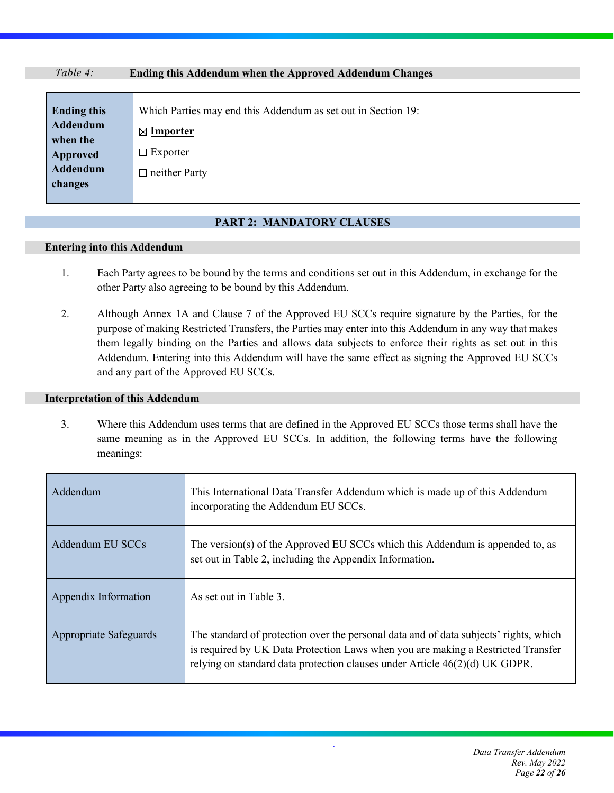| Table 4: | <b>Ending this Addendum when the Approved Addendum Changes</b> |  |
|----------|----------------------------------------------------------------|--|
|          |                                                                |  |

| <b>Ending this</b> | Which Parties may end this Addendum as set out in Section 19: |
|--------------------|---------------------------------------------------------------|
| Addendum           | $\boxtimes$ Importer                                          |
| when the           |                                                               |
| <b>Approved</b>    | $\Box$ Exporter                                               |
| Addendum           | $\Box$ neither Party                                          |
| changes            |                                                               |
|                    |                                                               |

# **PART 2: MANDATORY CLAUSES**

### **Entering into this Addendum**

- 1. Each Party agrees to be bound by the terms and conditions set out in this Addendum, in exchange for the other Party also agreeing to be bound by this Addendum.
- 2. Although Annex 1A and Clause 7 of the Approved EU SCCs require signature by the Parties, for the purpose of making Restricted Transfers, the Parties may enter into this Addendum in any way that makes them legally binding on the Parties and allows data subjects to enforce their rights as set out in this Addendum. Entering into this Addendum will have the same effect as signing the Approved EU SCCs and any part of the Approved EU SCCs.

# **Interpretation of this Addendum**

3. Where this Addendum uses terms that are defined in the Approved EU SCCs those terms shall have the same meaning as in the Approved EU SCCs. In addition, the following terms have the following meanings:

| Addendum               | This International Data Transfer Addendum which is made up of this Addendum<br>incorporating the Addendum EU SCCs.                                                                                                                                       |
|------------------------|----------------------------------------------------------------------------------------------------------------------------------------------------------------------------------------------------------------------------------------------------------|
| Addendum EU SCCs       | The version(s) of the Approved EU SCCs which this Addendum is appended to, as<br>set out in Table 2, including the Appendix Information.                                                                                                                 |
| Appendix Information   | As set out in Table 3.                                                                                                                                                                                                                                   |
| Appropriate Safeguards | The standard of protection over the personal data and of data subjects' rights, which<br>is required by UK Data Protection Laws when you are making a Restricted Transfer<br>relying on standard data protection clauses under Article 46(2)(d) UK GDPR. |

÷.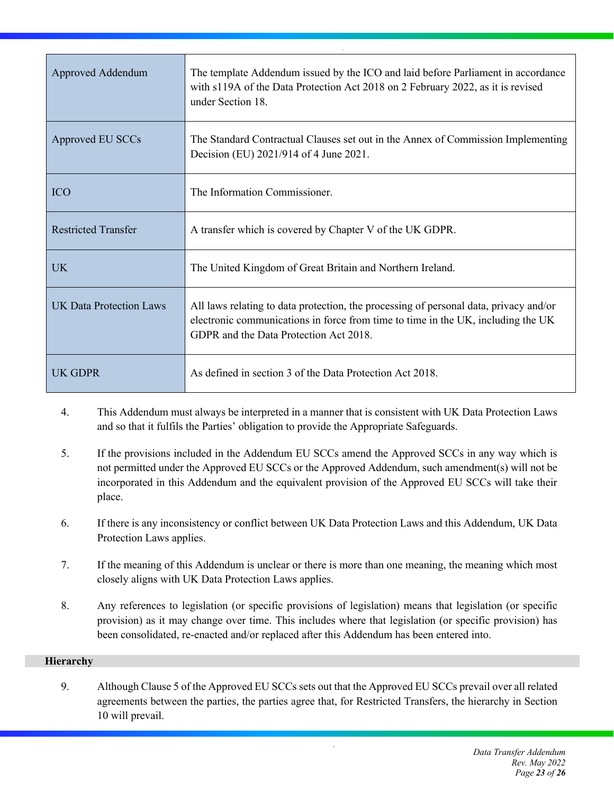| Approved Addendum              | The template Addendum issued by the ICO and laid before Parliament in accordance<br>with s119A of the Data Protection Act 2018 on 2 February 2022, as it is revised<br>under Section 18.                            |
|--------------------------------|---------------------------------------------------------------------------------------------------------------------------------------------------------------------------------------------------------------------|
| Approved EU SCCs               | The Standard Contractual Clauses set out in the Annex of Commission Implementing<br>Decision (EU) 2021/914 of 4 June 2021.                                                                                          |
| <b>ICO</b>                     | The Information Commissioner.                                                                                                                                                                                       |
| <b>Restricted Transfer</b>     | A transfer which is covered by Chapter V of the UK GDPR.                                                                                                                                                            |
| $_{\rm{UK}}$                   | The United Kingdom of Great Britain and Northern Ireland.                                                                                                                                                           |
| <b>UK Data Protection Laws</b> | All laws relating to data protection, the processing of personal data, privacy and/or<br>electronic communications in force from time to time in the UK, including the UK<br>GDPR and the Data Protection Act 2018. |
| <b>UK GDPR</b>                 | As defined in section 3 of the Data Protection Act 2018.                                                                                                                                                            |

- 4. This Addendum must always be interpreted in a manner that is consistent with UK Data Protection Laws and so that it fulfils the Parties' obligation to provide the Appropriate Safeguards.
- 5. If the provisions included in the Addendum EU SCCs amend the Approved SCCs in any way which is not permitted under the Approved EU SCCs or the Approved Addendum, such amendment(s) will not be incorporated in this Addendum and the equivalent provision of the Approved EU SCCs will take their place.
- 6. If there is any inconsistency or conflict between UK Data Protection Laws and this Addendum, UK Data Protection Laws applies.
- 7. If the meaning of this Addendum is unclear or there is more than one meaning, the meaning which most closely aligns with UK Data Protection Laws applies.
- 8. Any references to legislation (or specific provisions of legislation) means that legislation (or specific provision) as it may change over time. This includes where that legislation (or specific provision) has been consolidated, re-enacted and/or replaced after this Addendum has been entered into.

# **Hierarchy**

9. Although Clause 5 of the Approved EU SCCs sets out that the Approved EU SCCs prevail over all related agreements between the parties, the parties agree that, for Restricted Transfers, the hierarchy in Section 10 will prevail.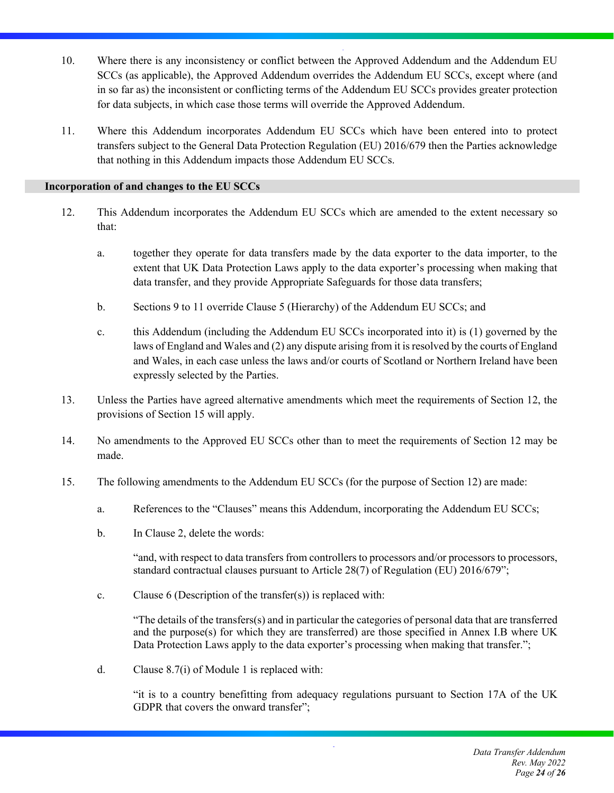- 10. Where there is any inconsistency or conflict between the Approved Addendum and the Addendum EU SCCs (as applicable), the Approved Addendum overrides the Addendum EU SCCs, except where (and in so far as) the inconsistent or conflicting terms of the Addendum EU SCCs provides greater protection for data subjects, in which case those terms will override the Approved Addendum.
- 11. Where this Addendum incorporates Addendum EU SCCs which have been entered into to protect transfers subject to the General Data Protection Regulation (EU) 2016/679 then the Parties acknowledge that nothing in this Addendum impacts those Addendum EU SCCs.

#### **Incorporation of and changes to the EU SCCs**

- 12. This Addendum incorporates the Addendum EU SCCs which are amended to the extent necessary so that:
	- a. together they operate for data transfers made by the data exporter to the data importer, to the extent that UK Data Protection Laws apply to the data exporter's processing when making that data transfer, and they provide Appropriate Safeguards for those data transfers;
	- b. Sections 9 to 11 override Clause 5 (Hierarchy) of the Addendum EU SCCs; and
	- c. this Addendum (including the Addendum EU SCCs incorporated into it) is (1) governed by the laws of England and Wales and (2) any dispute arising from it is resolved by the courts of England and Wales, in each case unless the laws and/or courts of Scotland or Northern Ireland have been expressly selected by the Parties.
- 13. Unless the Parties have agreed alternative amendments which meet the requirements of Section 12, the provisions of Section 15 will apply.
- 14. No amendments to the Approved EU SCCs other than to meet the requirements of Section 12 may be made.
- 15. The following amendments to the Addendum EU SCCs (for the purpose of Section 12) are made:
	- a. References to the "Clauses" means this Addendum, incorporating the Addendum EU SCCs;
	- b. In Clause 2, delete the words:

"and, with respect to data transfers from controllers to processors and/or processors to processors, standard contractual clauses pursuant to Article 28(7) of Regulation (EU) 2016/679";

c. Clause 6 (Description of the transfer(s)) is replaced with:

"The details of the transfers(s) and in particular the categories of personal data that are transferred and the purpose(s) for which they are transferred) are those specified in Annex I.B where UK Data Protection Laws apply to the data exporter's processing when making that transfer.";

d. Clause 8.7(i) of Module 1 is replaced with:

"it is to a country benefitting from adequacy regulations pursuant to Section 17A of the UK GDPR that covers the onward transfer";

 $\bar{z}$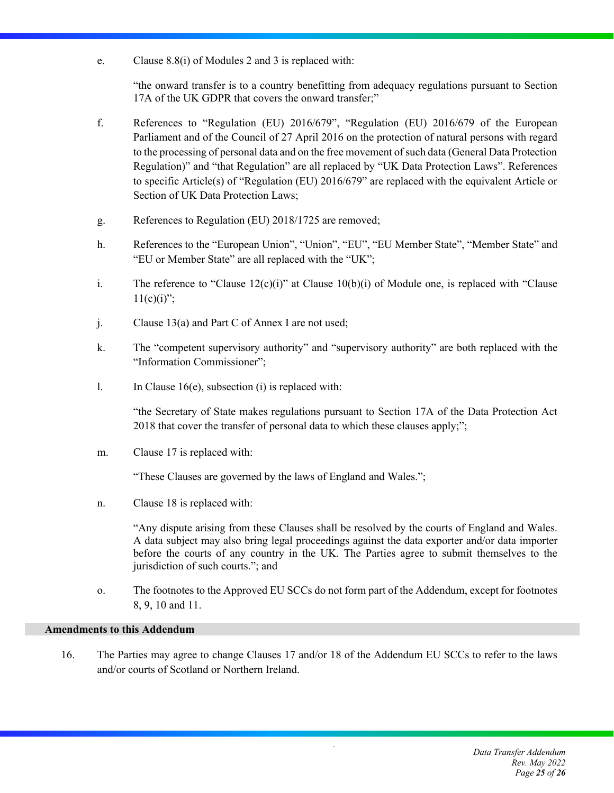e. Clause 8.8(i) of Modules 2 and 3 is replaced with:

"the onward transfer is to a country benefitting from adequacy regulations pursuant to Section 17A of the UK GDPR that covers the onward transfer;"

- f. References to "Regulation (EU) 2016/679", "Regulation (EU) 2016/679 of the European Parliament and of the Council of 27 April 2016 on the protection of natural persons with regard to the processing of personal data and on the free movement of such data (General Data Protection Regulation)" and "that Regulation" are all replaced by "UK Data Protection Laws". References to specific Article(s) of "Regulation (EU) 2016/679" are replaced with the equivalent Article or Section of UK Data Protection Laws;
- g. References to Regulation (EU) 2018/1725 are removed;
- h. References to the "European Union", "Union", "EU", "EU Member State", "Member State" and "EU or Member State" are all replaced with the "UK";
- i. The reference to "Clause 12(c)(i)" at Clause 10(b)(i) of Module one, is replaced with "Clause  $11(c)(i)$ ";
- j. Clause 13(a) and Part C of Annex I are not used;
- k. The "competent supervisory authority" and "supervisory authority" are both replaced with the "Information Commissioner";
- l. In Clause  $16(e)$ , subsection (i) is replaced with:

"the Secretary of State makes regulations pursuant to Section 17A of the Data Protection Act 2018 that cover the transfer of personal data to which these clauses apply;";

m. Clause 17 is replaced with:

"These Clauses are governed by the laws of England and Wales.";

n. Clause 18 is replaced with:

"Any dispute arising from these Clauses shall be resolved by the courts of England and Wales. A data subject may also bring legal proceedings against the data exporter and/or data importer before the courts of any country in the UK. The Parties agree to submit themselves to the jurisdiction of such courts."; and

o. The footnotes to the Approved EU SCCs do not form part of the Addendum, except for footnotes 8, 9, 10 and 11.

#### **Amendments to this Addendum**

16. The Parties may agree to change Clauses 17 and/or 18 of the Addendum EU SCCs to refer to the laws and/or courts of Scotland or Northern Ireland.